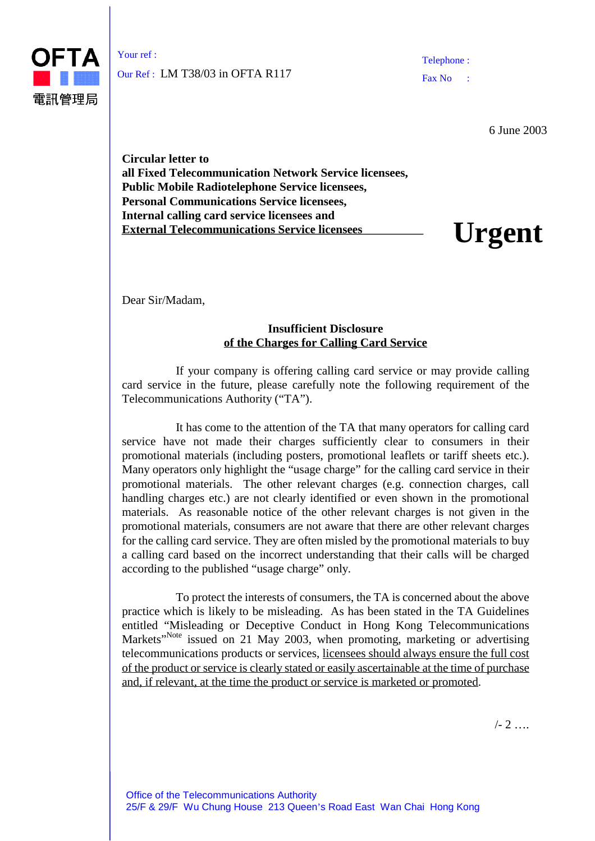

Your ref : Our Ref : LM T38/03 in OFTA R117

Telephone : Fax No

6 June 2003

**Urgent**

**Circular letter to all Fixed Telecommunication Network Service licensees, Public Mobile Radiotelephone Service licensees, Personal Communications Service licensees, Internal calling card service licensees and External Telecommunications Service licensees**

Dear Sir/Madam,

## **Insufficient Disclosure of the Charges for Calling Card Service**

If your company is offering calling card service or may provide calling card service in the future, please carefully note the following requirement of the Telecommunications Authority ("TA").

It has come to the attention of the TA that many operators for calling card service have not made their charges sufficiently clear to consumers in their promotional materials (including posters, promotional leaflets or tariff sheets etc.). Many operators only highlight the "usage charge" for the calling card service in their promotional materials. The other relevant charges (e.g. connection charges, call handling charges etc.) are not clearly identified or even shown in the promotional materials. As reasonable notice of the other relevant charges is not given in the promotional materials, consumers are not aware that there are other relevant charges for the calling card service. They are often misled by the promotional materials to buy a calling card based on the incorrect understanding that their calls will be charged according to the published "usage charge" only.

To protect the interests of consumers, the TA is concerned about the above practice which is likely to be misleading. As has been stated in the TA Guidelines entitled "Misleading or Deceptive Conduct in Hong Kong Telecommunications Markets"Note issued on 21 May 2003, when promoting, marketing or advertising telecommunications products or services, licensees should always ensure the full cost of the product or service is clearly stated or easily ascertainable at the time of purchase and, if relevant, at the time the product or service is marketed or promoted.

/- 2 ….